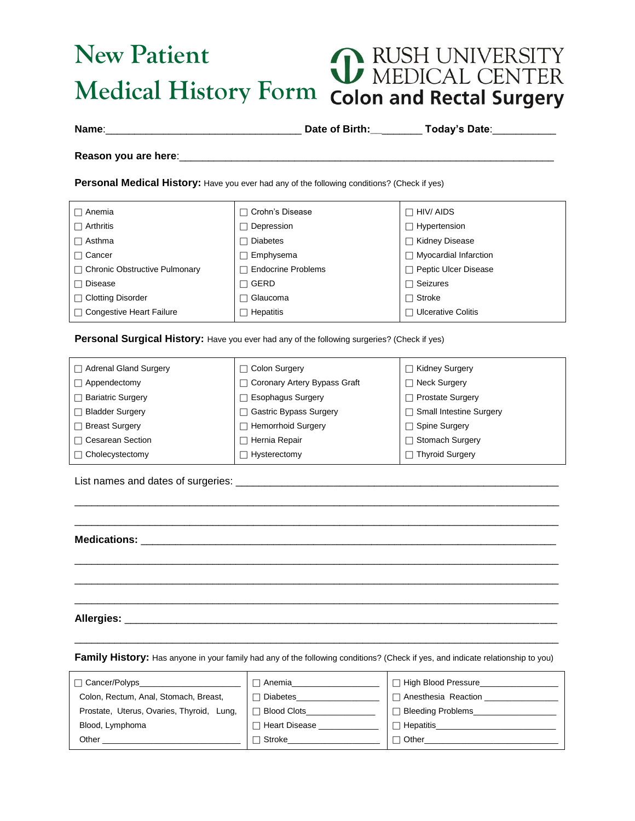## **New Patient** RUSH UNIVERSITY<br>MEDICAL CENTER G **Medical History Form Colon and Rectal Surgery**

**Name**:\_\_\_\_\_\_\_\_\_\_\_\_\_\_\_\_\_\_\_\_\_\_\_\_\_\_\_\_\_\_\_\_\_\_ **Date of Birth:\_\_**\_\_\_\_\_\_\_ **Today's Date**:\_\_\_\_\_\_\_\_\_\_\_

**Reason you are here**:\_\_\_\_\_\_\_\_\_\_\_\_\_\_\_\_\_\_\_\_\_\_\_\_\_\_\_\_\_\_\_\_\_\_\_\_\_\_\_\_\_\_\_\_\_\_\_\_\_\_\_\_\_\_\_\_\_\_\_\_\_\_\_\_\_

**Personal Medical History:** Have you ever had any of the following conditions? (Check if yes)

| □ Anemia                             | $\sqcap$ Crohn's Disease  | $\Box$ HIV/ AIDS          |
|--------------------------------------|---------------------------|---------------------------|
| $\Box$ Arthritis                     | Depression                | Hypertension              |
| $\Box$ Asthma                        | <b>Diabetes</b>           | □ Kidney Disease          |
| $\Box$ Cancer                        | Emphysema                 | Myocardial Infarction     |
| $\Box$ Chronic Obstructive Pulmonary | <b>Endocrine Problems</b> | Peptic Ulcer Disease      |
| $\Box$ Disease                       | GERD                      | $\Box$ Seizures           |
| $\Box$ Clotting Disorder             | Glaucoma                  | $\Box$ Stroke             |
| $\Box$ Congestive Heart Failure      | Hepatitis                 | <b>Ulcerative Colitis</b> |

**Personal Surgical History:** Have you ever had any of the following surgeries? (Check if yes)

| $\Box$ Adrenal Gland Surgery | $\Box$ Colon Surgery                              | <b>Kidney Surgery</b>          |
|------------------------------|---------------------------------------------------|--------------------------------|
| $\Box$ Appendectomy          | Coronary Artery Bypass Graft<br>Neck Surgery<br>П |                                |
| $\Box$ Bariatric Surgery     | <b>Esophagus Surgery</b>                          | <b>Prostate Surgery</b>        |
| <b>Bladder Surgery</b>       | <b>Gastric Bypass Surgery</b>                     | <b>Small Intestine Surgery</b> |
| $\Box$ Breast Surgery        | <b>Hemorrhoid Surgery</b><br>П                    | <b>Spine Surgery</b>           |
| $\Box$ Cesarean Section      | Hernia Repair                                     | <b>Stomach Surgery</b>         |
| $\Box$ Cholecystectomy       | Hysterectomy                                      | Thyroid Surgery                |

\_\_\_\_\_\_\_\_\_\_\_\_\_\_\_\_\_\_\_\_\_\_\_\_\_\_\_\_\_\_\_\_\_\_\_\_\_\_\_\_\_\_\_\_\_\_\_\_\_\_\_\_\_\_\_\_\_\_\_\_\_\_\_\_\_\_\_\_\_\_\_\_\_\_\_\_\_\_\_\_\_\_\_\_ \_\_\_\_\_\_\_\_\_\_\_\_\_\_\_\_\_\_\_\_\_\_\_\_\_\_\_\_\_\_\_\_\_\_\_\_\_\_\_\_\_\_\_\_\_\_\_\_\_\_\_\_\_\_\_\_\_\_\_\_\_\_\_\_\_\_\_\_\_\_\_\_\_\_\_\_\_\_\_\_\_\_\_\_

\_\_\_\_\_\_\_\_\_\_\_\_\_\_\_\_\_\_\_\_\_\_\_\_\_\_\_\_\_\_\_\_\_\_\_\_\_\_\_\_\_\_\_\_\_\_\_\_\_\_\_\_\_\_\_\_\_\_\_\_\_\_\_\_\_\_\_\_\_\_\_\_\_\_\_\_\_\_\_\_\_\_\_\_ \_\_\_\_\_\_\_\_\_\_\_\_\_\_\_\_\_\_\_\_\_\_\_\_\_\_\_\_\_\_\_\_\_\_\_\_\_\_\_\_\_\_\_\_\_\_\_\_\_\_\_\_\_\_\_\_\_\_\_\_\_\_\_\_\_\_\_\_\_\_\_\_\_\_\_\_\_\_\_\_\_\_\_\_ \_\_\_\_\_\_\_\_\_\_\_\_\_\_\_\_\_\_\_\_\_\_\_\_\_\_\_\_\_\_\_\_\_\_\_\_\_\_\_\_\_\_\_\_\_\_\_\_\_\_\_\_\_\_\_\_\_\_\_\_\_\_\_\_\_\_\_\_\_\_\_\_\_\_\_\_\_\_\_\_\_\_\_\_

List names and dates of surgeries: \_\_\_\_\_\_\_\_\_\_\_\_\_\_\_\_\_\_\_\_\_\_\_\_\_\_\_\_\_\_\_\_\_\_\_\_\_\_\_\_\_\_\_\_\_\_\_\_\_\_\_\_\_\_\_\_

**Medications:** \_\_\_\_\_\_\_\_\_\_\_\_\_\_\_\_\_\_\_\_\_\_\_\_\_\_\_\_\_\_\_\_\_\_\_\_\_\_\_\_\_\_\_\_\_\_\_\_\_\_\_\_\_\_\_\_\_\_\_\_\_\_\_\_\_\_\_\_\_\_\_\_

**Allergies:** \_\_\_\_\_\_\_\_\_\_\_\_\_\_\_\_\_\_\_\_\_\_\_\_\_\_\_\_\_\_\_\_\_\_\_\_\_\_\_\_\_\_\_\_\_\_\_\_\_\_\_\_\_\_\_\_\_\_\_\_\_\_\_\_\_\_\_\_\_\_\_\_\_\_\_

\_\_\_\_\_\_\_\_\_\_\_\_\_\_\_\_\_\_\_\_\_\_\_\_\_\_\_\_\_\_\_\_\_\_\_\_\_\_\_\_\_\_\_\_\_\_\_\_\_\_\_\_\_\_\_\_\_\_\_\_\_\_\_\_\_\_\_\_\_\_\_\_\_\_\_\_\_\_\_\_\_\_\_\_ **Family History:** Has anyone in your family had any of the following conditions? (Check if yes, and indicate relationship to you)

| □ Cancer/Polyps                           | Anemia               | □ High Blood Pressure    |
|-------------------------------------------|----------------------|--------------------------|
| Colon, Rectum, Anal, Stomach, Breast,     | Diabetes             | ⊤ Anesthesia Reaction    |
| Prostate, Uterus, Ovaries, Thyroid, Lung, | <b>Blood Clots</b>   | <b>Bleeding Problems</b> |
| Blood, Lymphoma                           | <b>Heart Disease</b> | Hepatitis                |
| Other                                     | Stroke               | □ Other                  |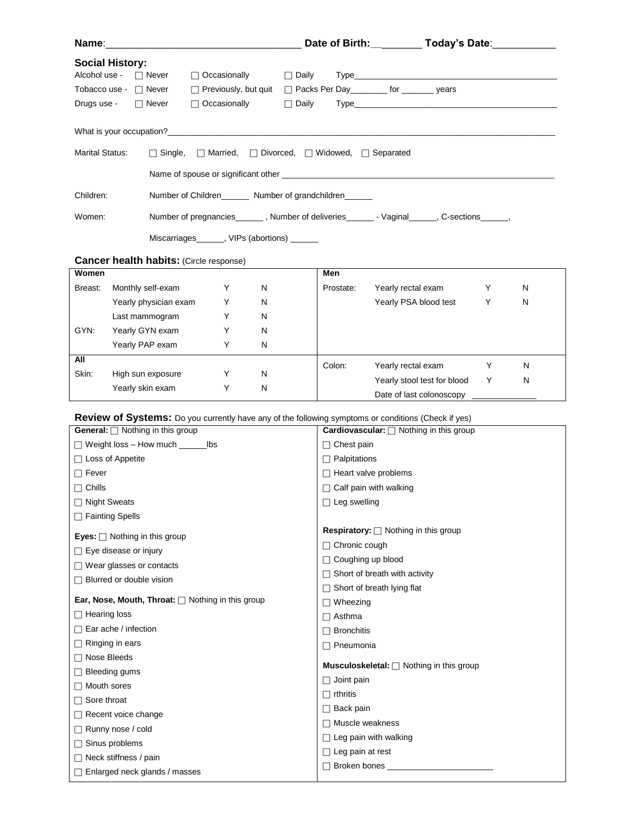| Name:                                     |                                                                                                                                                                                                                                |                                                                   |              |                                      | Date of Birth: __________ Today's Date: __________                                                         |   |   |
|-------------------------------------------|--------------------------------------------------------------------------------------------------------------------------------------------------------------------------------------------------------------------------------|-------------------------------------------------------------------|--------------|--------------------------------------|------------------------------------------------------------------------------------------------------------|---|---|
| <b>Social History:</b>                    |                                                                                                                                                                                                                                |                                                                   |              |                                      |                                                                                                            |   |   |
| Alcohol use - □ Never                     |                                                                                                                                                                                                                                | $\Box$ Occasionally                                               | $\Box$ Daily |                                      |                                                                                                            |   |   |
| Tobacco use - $\Box$ Never                |                                                                                                                                                                                                                                |                                                                   |              |                                      | □ Previously, but quit □ Packs Per Day ________ for _______ years                                          |   |   |
| Drugs use -                               | $\Box$ Never                                                                                                                                                                                                                   | $\Box$ Occasionally                                               | $\Box$ Daily |                                      |                                                                                                            |   |   |
|                                           | What is your occupation? Manual According to the control of the state of the control of the control of the control of the control of the control of the control of the control of the control of the control of the control of |                                                                   |              |                                      |                                                                                                            |   |   |
| <b>Marital Status:</b>                    | $\Box$ Single,                                                                                                                                                                                                                 | $\Box$ Married, $\Box$ Divorced, $\Box$ Widowed, $\Box$ Separated |              |                                      |                                                                                                            |   |   |
|                                           |                                                                                                                                                                                                                                |                                                                   |              |                                      |                                                                                                            |   |   |
| Children:                                 | Number of Children________ Number of grandchildren______                                                                                                                                                                       |                                                                   |              |                                      |                                                                                                            |   |   |
| Women:                                    | Number of pregnancies________, Number of deliveries________- Vaginal_______, C-sections_______,                                                                                                                                |                                                                   |              |                                      |                                                                                                            |   |   |
|                                           | Miscarriages______, VIPs (abortions) ______                                                                                                                                                                                    |                                                                   |              |                                      |                                                                                                            |   |   |
|                                           |                                                                                                                                                                                                                                |                                                                   |              |                                      |                                                                                                            |   |   |
| Women                                     | <b>Cancer health habits: (Circle response)</b>                                                                                                                                                                                 |                                                                   |              | Men                                  |                                                                                                            |   |   |
| Breast:                                   | Monthly self-exam                                                                                                                                                                                                              | Y<br>N                                                            |              | Prostate:                            | Yearly rectal exam                                                                                         | Y | N |
|                                           | Yearly physician exam                                                                                                                                                                                                          | Y<br>N                                                            |              |                                      | Yearly PSA blood test                                                                                      | Y | N |
|                                           | Last mammogram                                                                                                                                                                                                                 | Y<br>N                                                            |              |                                      |                                                                                                            |   |   |
| GYN:                                      | Yearly GYN exam                                                                                                                                                                                                                | Y<br>N                                                            |              |                                      |                                                                                                            |   |   |
|                                           | Yearly PAP exam                                                                                                                                                                                                                | Y<br>N                                                            |              |                                      |                                                                                                            |   |   |
| All                                       |                                                                                                                                                                                                                                |                                                                   |              |                                      |                                                                                                            |   |   |
| Skin:                                     | High sun exposure                                                                                                                                                                                                              | Y<br>N                                                            |              | Colon:                               | Yearly rectal exam                                                                                         | Y | N |
|                                           | Yearly skin exam                                                                                                                                                                                                               | Υ<br>N                                                            |              |                                      | Yearly stool test for blood                                                                                | Y | N |
|                                           |                                                                                                                                                                                                                                |                                                                   |              |                                      | Date of last colonoscopy                                                                                   |   |   |
|                                           |                                                                                                                                                                                                                                |                                                                   |              |                                      | <b>Review of Systems:</b> Do you currently have any of the following symptoms or conditions (Check if yes) |   |   |
| General: □ Nothing in this group          |                                                                                                                                                                                                                                |                                                                   |              |                                      | <b>Cardiovascular:</b> □ Nothing in this group                                                             |   |   |
|                                           | □ Weight loss - How much ________ lbs                                                                                                                                                                                          |                                                                   |              | $\Box$ Chest pain                    |                                                                                                            |   |   |
| $\Box$ Loss of Appetite                   |                                                                                                                                                                                                                                |                                                                   |              | $\Box$ Palpitations                  |                                                                                                            |   |   |
| $\Box$ Fever                              |                                                                                                                                                                                                                                |                                                                   |              | $\Box$ Heart valve problems          |                                                                                                            |   |   |
| $\Box$ Chills                             |                                                                                                                                                                                                                                |                                                                   |              | $\Box$ Calf pain with walking        |                                                                                                            |   |   |
| $\Box$ Night Sweats                       |                                                                                                                                                                                                                                |                                                                   |              | $\Box$ Leg swelling                  |                                                                                                            |   |   |
| $\Box$ Fainting Spells                    |                                                                                                                                                                                                                                |                                                                   |              |                                      | <b>Respiratory:</b> $\Box$ Nothing in this group                                                           |   |   |
| <b>Eyes:</b> $\Box$ Nothing in this group |                                                                                                                                                                                                                                |                                                                   |              | $\Box$ Chronic cough                 |                                                                                                            |   |   |
| $\Box$ Eye disease or injury              |                                                                                                                                                                                                                                | □ Coughing up blood                                               |              |                                      |                                                                                                            |   |   |
| $\Box$ Wear glasses or contacts           |                                                                                                                                                                                                                                |                                                                   |              | $\Box$ Short of breath with activity |                                                                                                            |   |   |
| $\Box$ Blurred or double vision           |                                                                                                                                                                                                                                |                                                                   |              |                                      | $\Box$ Short of breath lying flat                                                                          |   |   |
|                                           | Ear, Nose, Mouth, Throat: $\Box$ Nothing in this group                                                                                                                                                                         |                                                                   |              | $\Box$ Wheezing                      |                                                                                                            |   |   |
| $\Box$ Hearing loss                       |                                                                                                                                                                                                                                |                                                                   |              | $\Box$ Asthma                        |                                                                                                            |   |   |
| $\Box$ Ear ache / infection               |                                                                                                                                                                                                                                |                                                                   |              | $\Box$ Bronchitis                    |                                                                                                            |   |   |
| $\Box$ Ringing in ears                    |                                                                                                                                                                                                                                |                                                                   |              | $\Box$ Pneumonia                     |                                                                                                            |   |   |
| $\Box$ Nose Bleeds                        |                                                                                                                                                                                                                                |                                                                   |              |                                      | <b>Musculoskeletal:</b> $\Box$ Nothing in this group                                                       |   |   |
| $\Box$ Bleeding gums                      |                                                                                                                                                                                                                                |                                                                   |              | $\Box$ Joint pain                    |                                                                                                            |   |   |
| $\Box$ Mouth sores                        |                                                                                                                                                                                                                                |                                                                   |              | $\Box$ rthritis                      |                                                                                                            |   |   |
| $\Box$ Sore throat                        |                                                                                                                                                                                                                                |                                                                   |              | $\Box$ Back pain                     |                                                                                                            |   |   |
| $\Box$ Recent voice change                |                                                                                                                                                                                                                                |                                                                   |              | $\Box$ Muscle weakness               |                                                                                                            |   |   |
| Runny nose / cold                         |                                                                                                                                                                                                                                |                                                                   |              | $\Box$ Leg pain with walking         |                                                                                                            |   |   |
| $\Box$ Sinus problems                     |                                                                                                                                                                                                                                |                                                                   |              | $\Box$ Leg pain at rest              |                                                                                                            |   |   |
| $\Box$ Neck stiffness / pain              |                                                                                                                                                                                                                                |                                                                   |              |                                      | □ Broken bones _______________                                                                             |   |   |
| $\Box$ Enlarged neck glands / masses      |                                                                                                                                                                                                                                |                                                                   |              |                                      |                                                                                                            |   |   |